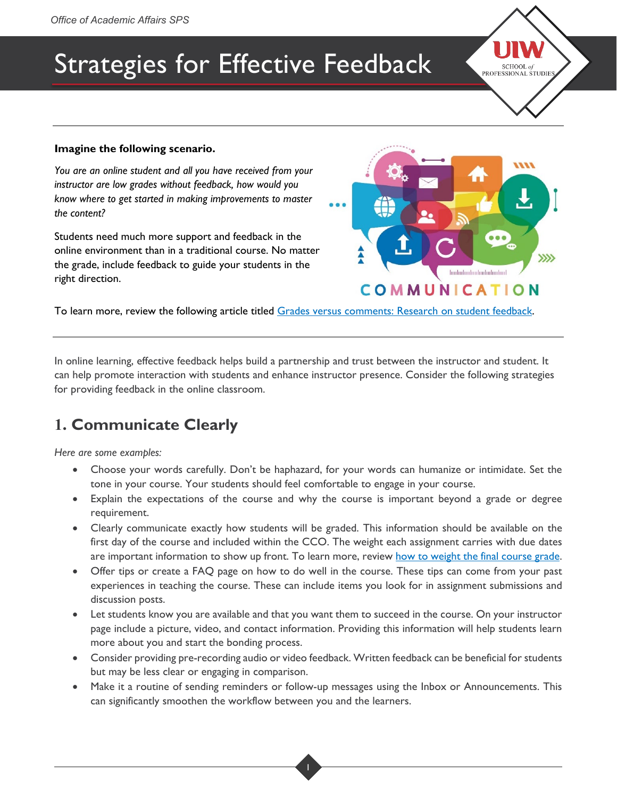# Strategies for Effective Feedback

#### **Imagine the following scenario.**

*You are an online student and all you have received from your instructor are low grades without feedback, how would you know where to get started in making improvements to master the content?*

Students need much more support and feedback in the online environment than in a traditional course. No matter the grade, include feedback to guide your students in the right direction.



SCHOOL of PROFESSIONAL ŠTUDIES

To learn more, review the following article titled [Grades versus comments: Research on student feedback.](https://kappanonline.org/grades-versus-comments-research-student-feedback-guskey/)

In online learning, effective feedback helps build a partnership and trust between the instructor and student. It can help promote interaction with students and enhance instructor presence. Consider the following strategies for providing feedback in the online classroom.

# **1. Communicate Clearly**

*Here are some examples:*

- Choose your words carefully. Don't be haphazard, for your words can humanize or intimidate. Set the tone in your course. Your students should feel comfortable to engage in your course.
- Explain the expectations of the course and why the course is important beyond a grade or degree requirement.
- Clearly communicate exactly how students will be graded. This information should be available on the first day of the course and included within the CCO. The weight each assignment carries with due dates are important information to show up front. To learn more, review [how to weight the final course grade.](https://community.canvaslms.com/t5/Instructor-Guide/How-do-I-weight-the-final-course-grade-based-on-assignment/ta-p/746)
- Offer tips or create a FAQ page on how to do well in the course. These tips can come from your past experiences in teaching the course. These can include items you look for in assignment submissions and discussion posts.
- Let students know you are available and that you want them to succeed in the course. On your instructor page include a picture, video, and contact information. Providing this information will help students learn more about you and start the bonding process.
- Consider providing pre-recording audio or video feedback. Written feedback can be beneficial for students but may be less clear or engaging in comparison.
- Make it a routine of sending reminders or follow-up messages using the Inbox or Announcements. This can significantly smoothen the workflow between you and the learners.